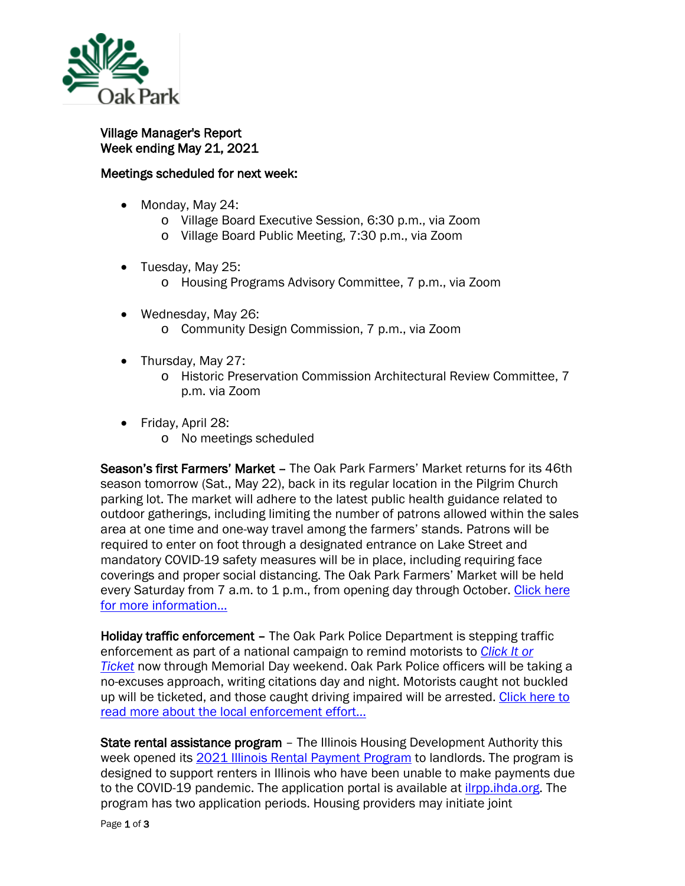

Village Manager's Report Week ending May 21, 2021

## Meetings scheduled for next week:

- Monday, May 24:
	- o Village Board Executive Session, 6:30 p.m., via Zoom
	- o Village Board Public Meeting, 7:30 p.m., via Zoom
- Tuesday, May 25:
	- o Housing Programs Advisory Committee, 7 p.m., via Zoom
- Wednesday, May 26: o Community Design Commission, 7 p.m., via Zoom
- Thursday, May 27:
	- o Historic Preservation Commission Architectural Review Committee, 7 p.m. via Zoom
- Friday, April 28:
	- o No meetings scheduled

Season's first Farmers' Market – The Oak Park Farmers' Market returns for its 46th season tomorrow (Sat., May 22), back in its regular location in the Pilgrim Church parking lot. The market will adhere to the latest public health guidance related to outdoor gatherings, including limiting the number of patrons allowed within the sales area at one time and one-way travel among the farmers' stands. Patrons will be required to enter on foot through a designated entrance on Lake Street and mandatory COVID-19 safety measures will be in place, including requiring face coverings and proper social distancing. The Oak Park Farmers' Market will be held every Saturday from 7 a.m. to 1 p.m., from opening day through October. Click here [for more information…](https://www.oak-park.us/news/oak-park-farmers-market-returns-may-22)

Holiday traffic enforcement – The Oak Park Police Department is stepping traffic enforcement as part of a national campaign to remind motorists to *[Click It or](https://www.nhtsa.gov/campaign/click-it-or-ticket)  [Ticket](https://www.nhtsa.gov/campaign/click-it-or-ticket)* now through Memorial Day weekend. Oak Park Police officers will be taking a no-excuses approach, writing citations day and night. Motorists caught not buckled up will be ticketed, and those caught driving impaired will be arrested. [Click here to](https://www.oak-park.us/news/oak-park-police-department-urge-you-click-it-or-ticket)  [read more about the local enforcement effort…](https://www.oak-park.us/news/oak-park-police-department-urge-you-click-it-or-ticket)

State rental assistance program - The Illinois Housing Development Authority this week opened its [2021 Illinois Rental Payment Program](http://mxrelay.oak-park.us:32224/?dmVyPTEuMDAxJiZlYzg0MmI0ZDE2MGE0Mzk3Yz02MEEyQjM1Ql8yNTY4MF8zOTlfMSYmODNkMjU1NDI0MWQ2NDg3PTEyMzMmJnVybD1odHRwcyUzQSUyRiUyRnd3dyUyRWloZGElMkVvcmclMkZhYm91dC1paGRhJTJGaWxsaW5vaXMtcmVudGFsLXBheW1lbnQtcHJvZ3JhbSUyRg==) to landlords. The program is designed to support renters in Illinois who have been unable to make payments due to the COVID-19 pandemic. The application portal is available at [ilrpp.ihda.org.](https://ilrpp.ihda.org/) The program has two application periods. Housing providers may initiate joint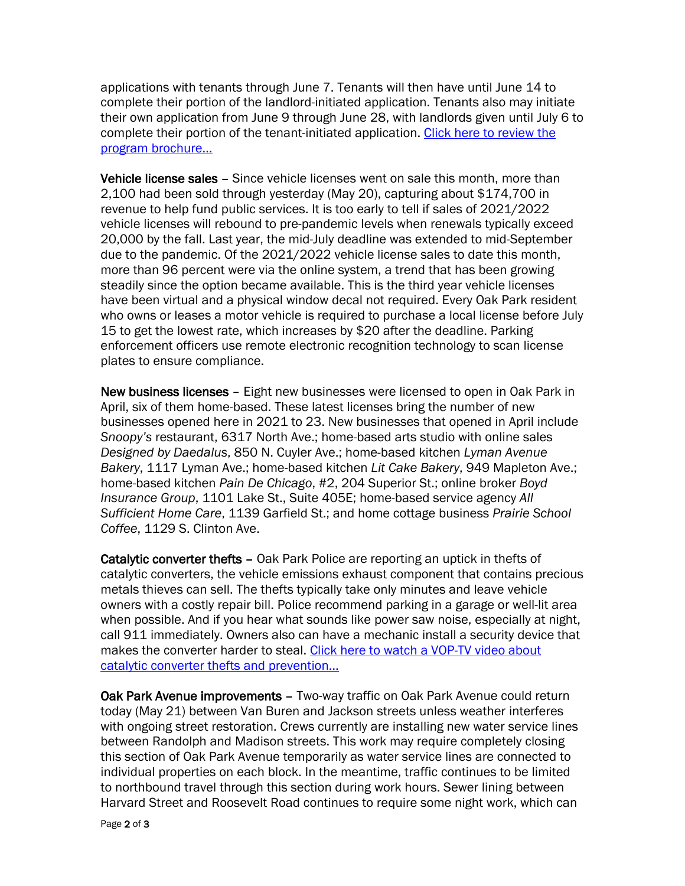applications with tenants through June 7. Tenants will then have until June 14 to complete their portion of the landlord-initiated application. Tenants also may initiate their own application from June 9 through June 28, with landlords given until July 6 to complete their portion of the tenant-initiated application. Click here to review the [program brochure…](https://www.oak-park.us/sites/default/files/456678891/2021-05-20-illinois-rental-payment-brochure-rogram-ihda.pdf)

Vehicle license sales - Since vehicle licenses went on sale this month, more than 2,100 had been sold through yesterday (May 20), capturing about \$174,700 in revenue to help fund public services. It is too early to tell if sales of 2021/2022 vehicle licenses will rebound to pre-pandemic levels when renewals typically exceed 20,000 by the fall. Last year, the mid-July deadline was extended to mid-September due to the pandemic. Of the 2021/2022 vehicle license sales to date this month, more than 96 percent were via the online system, a trend that has been growing steadily since the option became available. This is the third year vehicle licenses have been virtual and a physical window decal not required. Every Oak Park resident who owns or leases a motor vehicle is required to purchase a local license before July 15 to get the lowest rate, which increases by \$20 after the deadline. Parking enforcement officers use remote electronic recognition technology to scan license plates to ensure compliance.

New business licenses – Eight new businesses were licensed to open in Oak Park in April, six of them home-based. These latest licenses bring the number of new businesses opened here in 2021 to 23. New businesses that opened in April include *Snoopy's* restaurant, 6317 North Ave.; home-based arts studio with online sales *Designed by Daedalus*, 850 N. Cuyler Ave.; home-based kitchen *Lyman Avenue Bakery*, 1117 Lyman Ave.; home-based kitchen *Lit Cake Bakery*, 949 Mapleton Ave.; home-based kitchen *Pain De Chicago*, #2, 204 Superior St.; online broker *Boyd Insurance Group*, 1101 Lake St., Suite 405E; home-based service agency *All Sufficient Home Care*, 1139 Garfield St.; and home cottage business *Prairie School Coffee*, 1129 S. Clinton Ave.

Catalytic converter thefts - Oak Park Police are reporting an uptick in thefts of catalytic converters, the vehicle emissions exhaust component that contains precious metals thieves can sell. The thefts typically take only minutes and leave vehicle owners with a costly repair bill. Police recommend parking in a garage or well-lit area when possible. And if you hear what sounds like power saw noise, especially at night, call 911 immediately. Owners also can have a mechanic install a security device that makes the converter harder to steal. [Click here to watch a VOP-TV video about](https://youtu.be/W0AdojKAbA8)  [catalytic converter thefts and prevention…](https://youtu.be/W0AdojKAbA8)

Oak Park Avenue improvements – Two-way traffic on Oak Park Avenue could return today (May 21) between Van Buren and Jackson streets unless weather interferes with ongoing street restoration. Crews currently are installing new water service lines between Randolph and Madison streets. This work may require completely closing this section of Oak Park Avenue temporarily as water service lines are connected to individual properties on each block. In the meantime, traffic continues to be limited to northbound travel through this section during work hours. Sewer lining between Harvard Street and Roosevelt Road continues to require some night work, which can